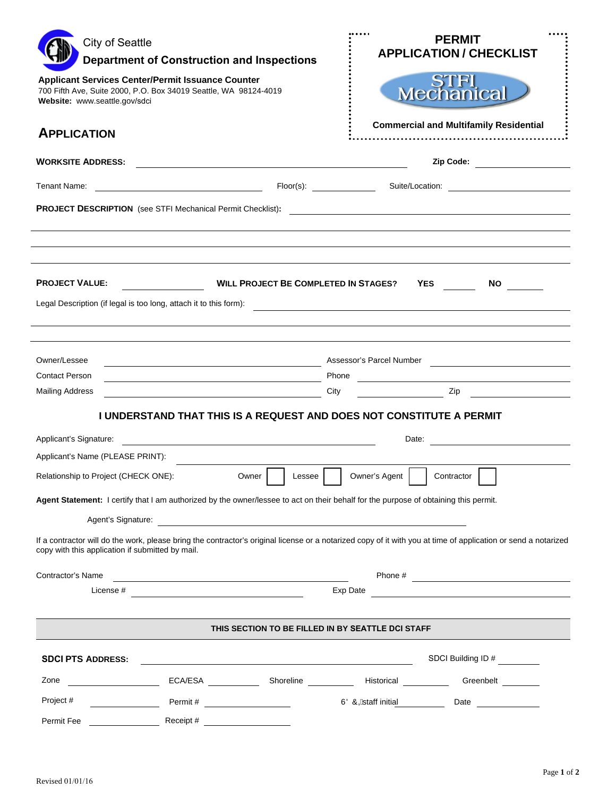| City of Seattle                                                                                                                                                                                                                              |                                                                                                                                                                                                                                                                   |                                                                                                                                                                                                                                      |                                                   | <b>PERMIT</b><br><b>APPLICATION / CHECKLIST</b>                                                                                                                |  |
|----------------------------------------------------------------------------------------------------------------------------------------------------------------------------------------------------------------------------------------------|-------------------------------------------------------------------------------------------------------------------------------------------------------------------------------------------------------------------------------------------------------------------|--------------------------------------------------------------------------------------------------------------------------------------------------------------------------------------------------------------------------------------|---------------------------------------------------|----------------------------------------------------------------------------------------------------------------------------------------------------------------|--|
|                                                                                                                                                                                                                                              | <b>Department of Construction and Inspections</b>                                                                                                                                                                                                                 |                                                                                                                                                                                                                                      |                                                   |                                                                                                                                                                |  |
| Website: www.seattle.gov/sdci                                                                                                                                                                                                                | <b>Applicant Services Center/Permit Issuance Counter</b><br>700 Fifth Ave, Suite 2000, P.O. Box 34019 Seattle, WA 98124-4019                                                                                                                                      |                                                                                                                                                                                                                                      |                                                   | STFI<br>Mechanical                                                                                                                                             |  |
| <b>APPLICATION</b>                                                                                                                                                                                                                           |                                                                                                                                                                                                                                                                   |                                                                                                                                                                                                                                      | <b>Commercial and Multifamily Residential</b>     |                                                                                                                                                                |  |
| <b>WORKSITE ADDRESS:</b>                                                                                                                                                                                                                     | <u> 1989 - Johann Stein, fransk politiker (d. 1989)</u>                                                                                                                                                                                                           |                                                                                                                                                                                                                                      |                                                   | Zip Code: ____________________                                                                                                                                 |  |
|                                                                                                                                                                                                                                              |                                                                                                                                                                                                                                                                   |                                                                                                                                                                                                                                      |                                                   |                                                                                                                                                                |  |
|                                                                                                                                                                                                                                              |                                                                                                                                                                                                                                                                   |                                                                                                                                                                                                                                      |                                                   |                                                                                                                                                                |  |
|                                                                                                                                                                                                                                              |                                                                                                                                                                                                                                                                   |                                                                                                                                                                                                                                      |                                                   |                                                                                                                                                                |  |
| <b>PROJECT VALUE:</b>                                                                                                                                                                                                                        | <u>and a strong strong that</u>                                                                                                                                                                                                                                   |                                                                                                                                                                                                                                      | WILL PROJECT BE COMPLETED IN STAGES? YES          | $\overline{N}$                                                                                                                                                 |  |
|                                                                                                                                                                                                                                              | Legal Description (if legal is too long, attach it to this form):                                                                                                                                                                                                 |                                                                                                                                                                                                                                      |                                                   |                                                                                                                                                                |  |
|                                                                                                                                                                                                                                              |                                                                                                                                                                                                                                                                   |                                                                                                                                                                                                                                      |                                                   |                                                                                                                                                                |  |
| Owner/Lessee                                                                                                                                                                                                                                 |                                                                                                                                                                                                                                                                   |                                                                                                                                                                                                                                      |                                                   |                                                                                                                                                                |  |
| <b>Contact Person</b>                                                                                                                                                                                                                        | Assessor's Parcel Number <b>Constant Construction Construction</b><br><u> 1980 - Johann Barn, amerikan bestemanns og forskellige og det blev til store og store og store og store og s</u><br><u> 1989 - Johann Stein, mars an deus Amerikaansk kommunister (</u> |                                                                                                                                                                                                                                      |                                                   |                                                                                                                                                                |  |
| <b>Mailing Address</b>                                                                                                                                                                                                                       |                                                                                                                                                                                                                                                                   | <u>and the contract of the contract of the contract of the contract of the contract of the contract of the contract of the contract of the contract of the contract of the contract of the contract of the contract of the contr</u> |                                                   | $\mathsf{Zip}$                                                                                                                                                 |  |
|                                                                                                                                                                                                                                              | I UNDERSTAND THAT THIS IS A REQUEST AND DOES NOT CONSTITUTE A PERMIT                                                                                                                                                                                              |                                                                                                                                                                                                                                      |                                                   |                                                                                                                                                                |  |
| Applicant's Signature:                                                                                                                                                                                                                       |                                                                                                                                                                                                                                                                   |                                                                                                                                                                                                                                      | Date: <u>_________________________</u>            |                                                                                                                                                                |  |
| Applicant's Name (PLEASE PRINT):                                                                                                                                                                                                             |                                                                                                                                                                                                                                                                   |                                                                                                                                                                                                                                      |                                                   |                                                                                                                                                                |  |
| Owner  <br>Lessee<br>Owner's Agent<br>Contractor<br>Relationship to Project (CHECK ONE):                                                                                                                                                     |                                                                                                                                                                                                                                                                   |                                                                                                                                                                                                                                      |                                                   |                                                                                                                                                                |  |
|                                                                                                                                                                                                                                              | Agent Statement: I certify that I am authorized by the owner/lessee to act on their behalf for the purpose of obtaining this permit.                                                                                                                              |                                                                                                                                                                                                                                      |                                                   |                                                                                                                                                                |  |
|                                                                                                                                                                                                                                              |                                                                                                                                                                                                                                                                   |                                                                                                                                                                                                                                      |                                                   |                                                                                                                                                                |  |
| copy with this application if submitted by mail.                                                                                                                                                                                             |                                                                                                                                                                                                                                                                   |                                                                                                                                                                                                                                      |                                                   | If a contractor will do the work, please bring the contractor's original license or a notarized copy of it with you at time of application or send a notarized |  |
| Contractor's Name                                                                                                                                                                                                                            |                                                                                                                                                                                                                                                                   |                                                                                                                                                                                                                                      |                                                   |                                                                                                                                                                |  |
|                                                                                                                                                                                                                                              |                                                                                                                                                                                                                                                                   | Exp Date<br><u> 1980 - Andrea Station, politik eta politik eta politik eta politik eta politik eta politik eta politik eta p</u>                                                                                                     |                                                   |                                                                                                                                                                |  |
|                                                                                                                                                                                                                                              |                                                                                                                                                                                                                                                                   |                                                                                                                                                                                                                                      |                                                   |                                                                                                                                                                |  |
|                                                                                                                                                                                                                                              |                                                                                                                                                                                                                                                                   |                                                                                                                                                                                                                                      | THIS SECTION TO BE FILLED IN BY SEATTLE DCI STAFF |                                                                                                                                                                |  |
| <b>SDCI PTS ADDRESS:</b>                                                                                                                                                                                                                     |                                                                                                                                                                                                                                                                   | <u> 1989 - Johann Stoff, deutscher Stoff, der Stoff, der Stoff, der Stoff, der Stoff, der Stoff, der Stoff, der S</u>                                                                                                                |                                                   | SDCI Building ID #                                                                                                                                             |  |
| Zone<br><u>and the community of the community of the community of the community of the community of the community of the community of the community of the community of the community of the community of the community of the community</u> |                                                                                                                                                                                                                                                                   |                                                                                                                                                                                                                                      |                                                   |                                                                                                                                                                |  |
| Project #                                                                                                                                                                                                                                    |                                                                                                                                                                                                                                                                   |                                                                                                                                                                                                                                      |                                                   | <u>ÙÖÔQstaff</u> initial Date                                                                                                                                  |  |
| Permit Fee                                                                                                                                                                                                                                   | Receipt # _____________________                                                                                                                                                                                                                                   |                                                                                                                                                                                                                                      |                                                   |                                                                                                                                                                |  |
|                                                                                                                                                                                                                                              |                                                                                                                                                                                                                                                                   |                                                                                                                                                                                                                                      |                                                   |                                                                                                                                                                |  |